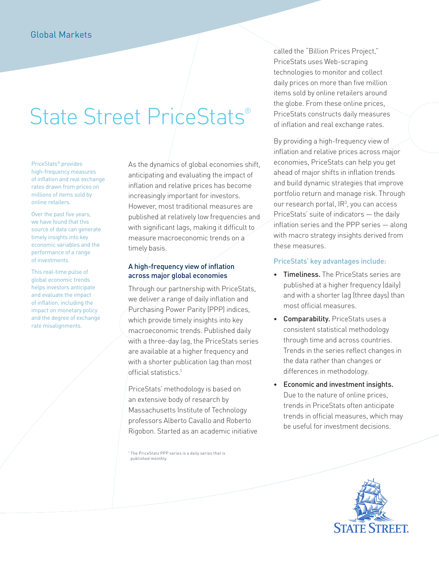# State Street PriceStats®

PriceStats® provides high-frequency measures of inflation and real exchange rates drawn from prices on millions of items sold by online retailers.

Over the past five years, we have found that this source of data can generate timely insights into key economic variables and the performance of a range of investments.

This real-time pulse of global economic trends helps investors anticipate and evaluate the impact of inflation, including the impact on monetary policy and the degree of exchange rate misalignments.

As the dynamics of global economies shift, anticipating and evaluating the impact of inflation and relative prices has become increasingly important for investors. However, most traditional measures are published at relatively low frequencies and with significant lags, making it difficult to measure macroeconomic trends on a timely basis.

# A high-frequency view of inflation across major global economies

Through our partnership with PriceStats, we deliver a range of daily inflation and Purchasing Power Parity (PPP) indices, which provide timely insights into key macroeconomic trends. Published daily with a three-day lag, the PriceStats series are available at a higher frequency and with a shorter publication lag than most official statistics.<sup>1</sup>

PriceStats' methodology is based on an extensive body of research by Massachusetts Institute of Technology professors Alberto Cavallo and Roberto Rigobon. Started as an academic initiative

<sup>1</sup> The PriceStats PPP series is a daily series that is published monthly.

called the "Billion Prices Project," PriceStats uses Web-scraping technologies to monitor and collect daily prices on more than five million items sold by online retailers around the globe. From these online prices, PriceStats constructs daily measures of inflation and real exchange rates.

By providing a high-frequency view of inflation and relative prices across major economies, PriceStats can help you get ahead of major shifts in inflation trends and build dynamic strategies that improve portfolio return and manage risk. Through our research portal,  $IR<sup>3</sup>$ , you can access PriceStats' suite of indicators — the daily inflation series and the PPP series — along with macro strategy insights derived from these measures.

# PriceStats' key advantages include:

- ∙ Timeliness. The PriceStats series are published at a higher frequency (daily) and with a shorter lag (three days) than most official measures.
- ∙ Comparability. PriceStats uses a consistent statistical methodology through time and across countries. Trends in the series reflect changes in the data rather than changes or differences in methodology.
- ∙ Economic and investment insights. Due to the nature of online prices, trends in PriceStats often anticipate trends in official measures, which may be useful for investment decisions.

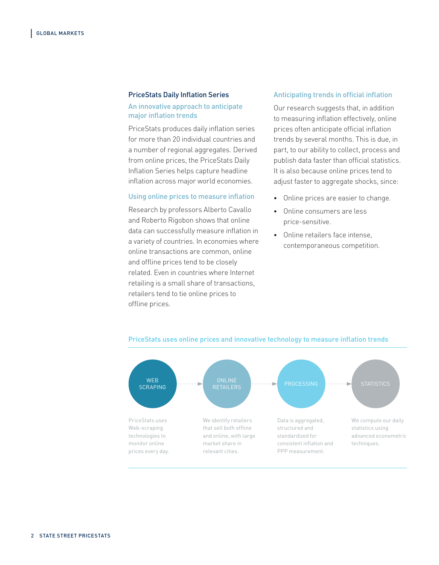#### PriceStats Daily Inflation Series

#### An innovative approach to anticipate major inflation trends

PriceStats produces daily inflation series for more than 20 individual countries and a number of regional aggregates. Derived from online prices, the PriceStats Daily Inflation Series helps capture headline inflation across major world economies.

#### Using online prices to measure inflation

Research by professors Alberto Cavallo and Roberto Rigobon shows that online data can successfully measure inflation in a variety of countries. In economies where online transactions are common, online and offline prices tend to be closely related. Even in countries where Internet retailing is a small share of transactions, retailers tend to tie online prices to offline prices.

#### Anticipating trends in official inflation

Our research suggests that, in addition to measuring inflation effectively, online prices often anticipate official inflation trends by several months. This is due, in part, to our ability to collect, process and publish data faster than official statistics. It is also because online prices tend to adjust faster to aggregate shocks, since:

- ∙ Online prices are easier to change.
- ∙ Online consumers are less price-sensitive.
- ∙ Online retailers face intense, contemporaneous competition.



#### PriceStats uses online prices and innovative technology to measure inflation trends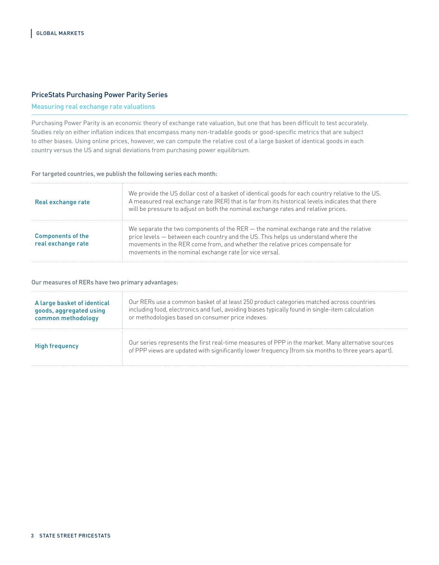#### PriceStats Purchasing Power Parity Series

# Measuring real exchange rate valuations

Purchasing Power Parity is an economic theory of exchange rate valuation, but one that has been difficult to test accurately. Studies rely on either inflation indices that encompass many non-tradable goods or good-specific metrics that are subject to other biases. Using online prices, however, we can compute the relative cost of a large basket of identical goods in each country versus the US and signal deviations from purchasing power equilibrium.

#### For targeted countries, we publish the following series each month:

| Real exchange rate                             | We provide the US dollar cost of a basket of identical goods for each country relative to the US.<br>A measured real exchange rate (RER) that is far from its historical levels indicates that there<br>will be pressure to adjust on both the nominal exchange rates and relative prices.                                  |
|------------------------------------------------|-----------------------------------------------------------------------------------------------------------------------------------------------------------------------------------------------------------------------------------------------------------------------------------------------------------------------------|
| <b>Components of the</b><br>real exchange rate | We separate the two components of the $RER$ — the nominal exchange rate and the relative<br>price levels - between each country and the US. This helps us understand where the<br>movements in the RER come from, and whether the relative prices compensate for<br>movements in the nominal exchange rate (or vice versa). |

#### Our measures of RERs have two primary advantages:

| A large basket of identical | Our RERs use a common basket of at least 250 product categories matched across countries                                                                                                                 |
|-----------------------------|----------------------------------------------------------------------------------------------------------------------------------------------------------------------------------------------------------|
| goods, aggregated using     | including food, electronics and fuel, avoiding biases typically found in single-item calculation                                                                                                         |
| common methodology          | or methodologies based on consumer price indexes.                                                                                                                                                        |
| High frequency              | Our series represents the first real-time measures of PPP in the market. Many alternative sources<br>of PPP views are updated with significantly lower frequency (from six months to three years apart). |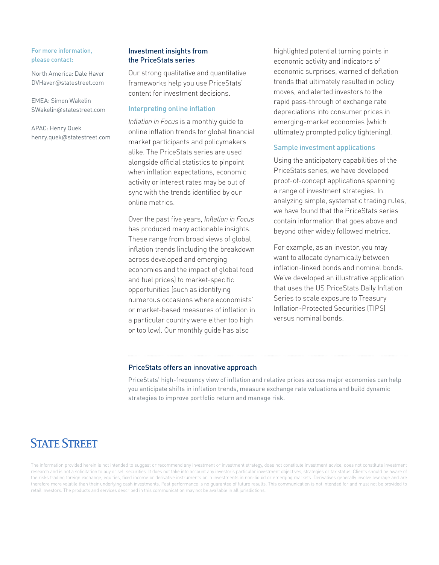#### For more information, please contact:

North America: Dale Haver DVHaver@statestreet.com

EMEA: Simon Wakelin SWakelin@statestreet.com

APAC: Henry Quek henry.quek@statestreet.com

### Investment insights from the PriceStats series

Our strong qualitative and quantitative frameworks help you use PriceStats' content for investment decisions.

## Interpreting online inflation

*Inflation in Focus* is a monthly guide to online inflation trends for global financial market participants and policymakers alike. The PriceStats series are used alongside official statistics to pinpoint when inflation expectations, economic activity or interest rates may be out of sync with the trends identified by our online metrics.

Over the past five years, *Inflation in Focus* has produced many actionable insights. These range from broad views of global inflation trends (including the breakdown across developed and emerging economies and the impact of global food and fuel prices) to market-specific opportunities (such as identifying numerous occasions where economists' or market-based measures of inflation in a particular country were either too high or too low). Our monthly guide has also

highlighted potential turning points in economic activity and indicators of economic surprises, warned of deflation trends that ultimately resulted in policy moves, and alerted investors to the rapid pass-through of exchange rate depreciations into consumer prices in emerging-market economies (which ultimately prompted policy tightening).

### Sample investment applications

Using the anticipatory capabilities of the PriceStats series, we have developed proof-of-concept applications spanning a range of investment strategies. In analyzing simple, systematic trading rules, we have found that the PriceStats series contain information that goes above and beyond other widely followed metrics.

For example, as an investor, you may want to allocate dynamically between inflation-linked bonds and nominal bonds. We've developed an illustrative application that uses the US PriceStats Daily Inflation Series to scale exposure to Treasury Inflation-Protected Securities (TIPS) versus nominal bonds.

#### PriceStats offers an innovative approach

PriceStats' high-frequency view of inflation and relative prices across major economies can help you anticipate shifts in inflation trends, measure exchange rate valuations and build dynamic strategies to improve portfolio return and manage risk.

# **STATE STREET**

The information provided herein is not intended to suggest or recommend any investment or investment strategy, does not constitute investment advice, does not constitute investment research and is not a solicitation to buy or sell securities. It does not take into account any investor's particular investment objectives, strategies or tax status. Clients should be aware of the risks trading foreign exchange, equities, fixed income or derivative instruments or in investments in non-liquid or emerging markets. Derivatives generally involve leverage and are therefore more volatile than their underlying cash investments. Past performance is no guarantee of future results. This communication is not intended for and must not be provided to retail investors. The products and services described in this communication may not be available in all jurisdictions.